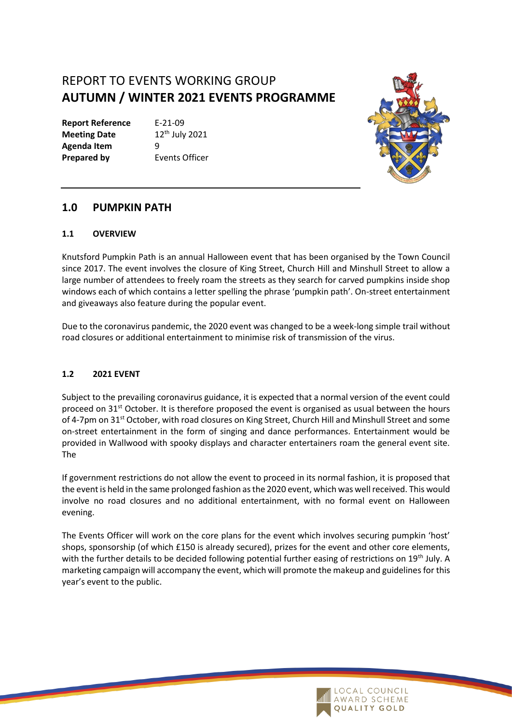# REPORT TO EVENTS WORKING GROUP **AUTUMN / WINTER 2021 EVENTS PROGRAMME**

**Report Reference** E-21-09 **Meeting Date** 12<sup>th</sup> July 2021 **Agenda Item** 9 **Prepared by Events Officer** 



# **1.0 PUMPKIN PATH**

#### **1.1 OVERVIEW**

Knutsford Pumpkin Path is an annual Halloween event that has been organised by the Town Council since 2017. The event involves the closure of King Street, Church Hill and Minshull Street to allow a large number of attendees to freely roam the streets as they search for carved pumpkins inside shop windows each of which contains a letter spelling the phrase 'pumpkin path'. On-street entertainment and giveaways also feature during the popular event.

Due to the coronavirus pandemic, the 2020 event was changed to be a week-long simple trail without road closures or additional entertainment to minimise risk of transmission of the virus.

### **1.2 2021 EVENT**

Subject to the prevailing coronavirus guidance, it is expected that a normal version of the event could proceed on 31<sup>st</sup> October. It is therefore proposed the event is organised as usual between the hours of 4-7pm on 31<sup>st</sup> October, with road closures on King Street, Church Hill and Minshull Street and some on-street entertainment in the form of singing and dance performances. Entertainment would be provided in Wallwood with spooky displays and character entertainers roam the general event site. The

If government restrictions do not allow the event to proceed in its normal fashion, it is proposed that the event is held in the same prolonged fashion as the 2020 event, which was well received. This would involve no road closures and no additional entertainment, with no formal event on Halloween evening.

The Events Officer will work on the core plans for the event which involves securing pumpkin 'host' shops, sponsorship (of which £150 is already secured), prizes for the event and other core elements, with the further details to be decided following potential further easing of restrictions on 19<sup>th</sup> July. A marketing campaign will accompany the event, which will promote the makeup and guidelines for this year's event to the public.

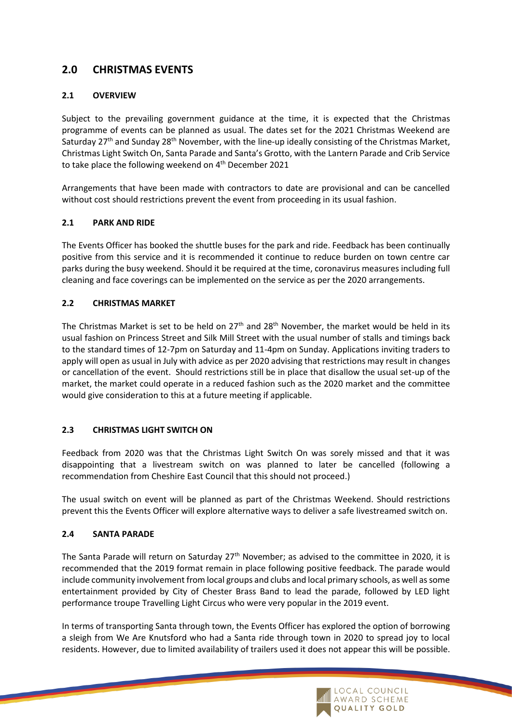# **2.0 CHRISTMAS EVENTS**

### **2.1 OVERVIEW**

Subject to the prevailing government guidance at the time, it is expected that the Christmas programme of events can be planned as usual. The dates set for the 2021 Christmas Weekend are Saturday 27<sup>th</sup> and Sunday 28<sup>th</sup> November, with the line-up ideally consisting of the Christmas Market, Christmas Light Switch On, Santa Parade and Santa's Grotto, with the Lantern Parade and Crib Service to take place the following weekend on 4<sup>th</sup> December 2021

Arrangements that have been made with contractors to date are provisional and can be cancelled without cost should restrictions prevent the event from proceeding in its usual fashion.

### **2.1 PARK AND RIDE**

The Events Officer has booked the shuttle buses for the park and ride. Feedback has been continually positive from this service and it is recommended it continue to reduce burden on town centre car parks during the busy weekend. Should it be required at the time, coronavirus measures including full cleaning and face coverings can be implemented on the service as per the 2020 arrangements.

#### **2.2 CHRISTMAS MARKET**

The Christmas Market is set to be held on 27<sup>th</sup> and 28<sup>th</sup> November, the market would be held in its usual fashion on Princess Street and Silk Mill Street with the usual number of stalls and timings back to the standard times of 12-7pm on Saturday and 11-4pm on Sunday. Applications inviting traders to apply will open as usual in July with advice as per 2020 advising that restrictions may result in changes or cancellation of the event. Should restrictions still be in place that disallow the usual set-up of the market, the market could operate in a reduced fashion such as the 2020 market and the committee would give consideration to this at a future meeting if applicable.

### **2.3 CHRISTMAS LIGHT SWITCH ON**

Feedback from 2020 was that the Christmas Light Switch On was sorely missed and that it was disappointing that a livestream switch on was planned to later be cancelled (following a recommendation from Cheshire East Council that this should not proceed.)

The usual switch on event will be planned as part of the Christmas Weekend. Should restrictions prevent this the Events Officer will explore alternative ways to deliver a safe livestreamed switch on.

#### **2.4 SANTA PARADE**

The Santa Parade will return on Saturday 27<sup>th</sup> November; as advised to the committee in 2020, it is recommended that the 2019 format remain in place following positive feedback. The parade would include community involvement from local groups and clubs and local primary schools, as well as some entertainment provided by City of Chester Brass Band to lead the parade, followed by LED light performance troupe Travelling Light Circus who were very popular in the 2019 event.

In terms of transporting Santa through town, the Events Officer has explored the option of borrowing a sleigh from We Are Knutsford who had a Santa ride through town in 2020 to spread joy to local residents. However, due to limited availability of trailers used it does not appear this will be possible.